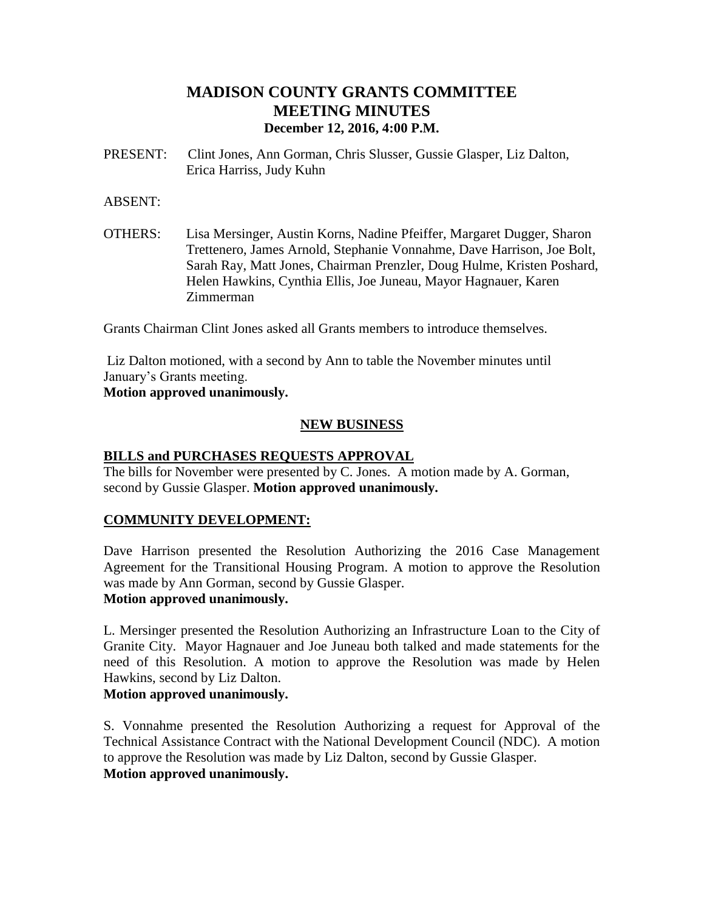# **MADISON COUNTY GRANTS COMMITTEE MEETING MINUTES December 12, 2016, 4:00 P.M.**

PRESENT: Clint Jones, Ann Gorman, Chris Slusser, Gussie Glasper, Liz Dalton, Erica Harriss, Judy Kuhn

#### ABSENT:

OTHERS: Lisa Mersinger, Austin Korns, Nadine Pfeiffer, Margaret Dugger, Sharon Trettenero, James Arnold, Stephanie Vonnahme, Dave Harrison, Joe Bolt, Sarah Ray, Matt Jones, Chairman Prenzler, Doug Hulme, Kristen Poshard, Helen Hawkins, Cynthia Ellis, Joe Juneau, Mayor Hagnauer, Karen Zimmerman

Grants Chairman Clint Jones asked all Grants members to introduce themselves.

Liz Dalton motioned, with a second by Ann to table the November minutes until January's Grants meeting.

**Motion approved unanimously.**

### **NEW BUSINESS**

#### **BILLS and PURCHASES REQUESTS APPROVAL**

The bills for November were presented by C. Jones. A motion made by A. Gorman, second by Gussie Glasper. **Motion approved unanimously.**

#### **COMMUNITY DEVELOPMENT:**

Dave Harrison presented the Resolution Authorizing the 2016 Case Management Agreement for the Transitional Housing Program. A motion to approve the Resolution was made by Ann Gorman, second by Gussie Glasper.

### **Motion approved unanimously.**

L. Mersinger presented the Resolution Authorizing an Infrastructure Loan to the City of Granite City. Mayor Hagnauer and Joe Juneau both talked and made statements for the need of this Resolution. A motion to approve the Resolution was made by Helen Hawkins, second by Liz Dalton.

#### **Motion approved unanimously.**

S. Vonnahme presented the Resolution Authorizing a request for Approval of the Technical Assistance Contract with the National Development Council (NDC). A motion to approve the Resolution was made by Liz Dalton, second by Gussie Glasper. **Motion approved unanimously.**